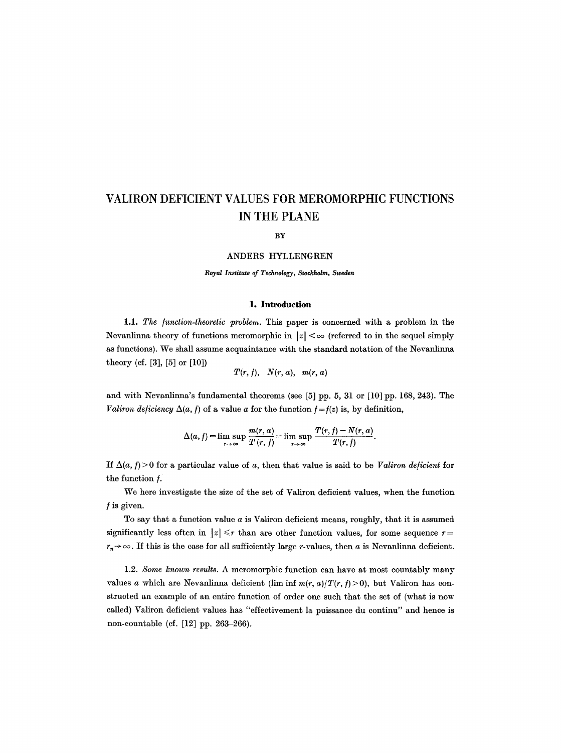BY

## ANDERS **HYLLENGREN**

*Royal Institute of Technology, Stockholm, Sweden* 

## **1. Introduction**

1.1. *The /unction-theoretic problem.* This paper is concerned with a problem in the Nevanlinna theory of functions meromorphic in  $|z| < \infty$  (referred to in the sequel simply as functions). We shall assume acquaintance with the standard notation of the Nevanlinna theory (cf. [3], [5] or [10])

$$
T(r, f), N(r, a), m(r, a)
$$

and with Nevanlinna's fundamental theorems (see [5] pp. 5, 31 or [10] pp. 168, 243). The *Valiron deficiency*  $\Delta(a, f)$  of a value a for the function  $f = f(z)$  is, by definition,

$$
\Delta(a, f) = \limsup_{r \to \infty} \frac{m(r, a)}{T(r, f)} = \limsup_{r \to \infty} \frac{T(r, f) - N(r, a)}{T(r, f)}.
$$

If  $\Delta(a, f) > 0$  for a particular value of a, then that value is said to be *Valiron deficient* for the function  $f$ .

We here investigate the size of the set of Valiron deficient values, when the function  $f$  is given.

To say that a function value  $a$  is Valiron deficient means, roughly, that it is assumed significantly less often in  $|z| \leq r$  than are other function values, for some sequence  $r =$  $r_n \rightarrow \infty$ . If this is the case for all sufficiently large r-values, then a is Nevanlinna deficient.

1.2. *Some known results.* A meromorphic function can have at most countably many values a which are Nevanlinna deficient (lim inf  $m(r, a)/T(r, f) > 0$ ), but Valiron has constructed an example of an entire function of order one such that the set of (what is now called) Valiron deficient values has "effectivement la puissance du continu" and hence is non-countable (cf. [12] pp. 263-266).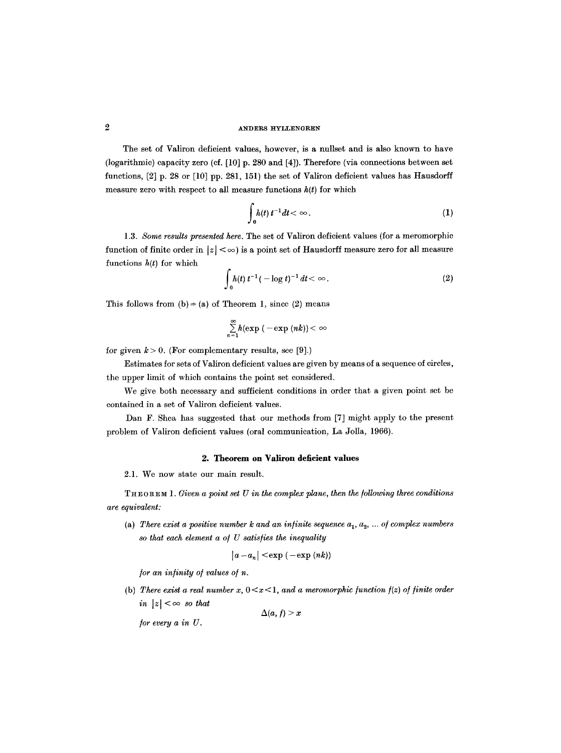The set of Valiron deficient values, however, is a nullset and is also known to have (logarithmic) capacity zero (ef. [10] p. 280 and [4]). Therefore (via connections between set functions, [2] p. 28 or [10] pp. 281, 151) the set of Valiron deficient values has Hausdorff measure zero with respect to all measure functions  $h(t)$  for which

$$
\int_0^t h(t) t^{-1} dt < \infty.
$$
 (1)

*1.3. Some results presented here.* The set of Valiron deficient values (for a meromorphic function of finite order in  $|z| < \infty$ ) is a point set of Hausdorff measure zero for all measure functions  $h(t)$  for which

$$
\int_0^{\infty} h(t) t^{-1} (-\log t)^{-1} dt < \infty.
$$
 (2)

This follows from (b)  $\Rightarrow$  (a) of Theorem 1, since (2) means

$$
\sum_{n=1}^{\infty} h(\exp(-\exp(nk)) < \infty
$$

for given  $k > 0$ . (For complementary results, see [9].)

Estimates for sets of Valiron deficient values are given by means of a sequence of circles, the upper limit of which contains the point set considered.

We give both necessary and sufficient conditions in order that a given point set be contained in a set of Valiron deficient values.

Dan F. Shea has suggested that our methods from [7] might apply to the present problem of Valiron deficient values (oral communication, La Jolla, 1966).

### **2. Theorem on Valiron deficient values**

2.1. We now state our main result.

THEOREM 1. Given a point set U in the complex plane, then the following three conditions *are equivalent:* 

(a) There exist a positive number k and an infinite sequence  $a_1, a_2, \ldots$  of complex numbers *so that each element a o~ U satisfies the inequality* 

$$
|a-a_n| < \exp(-\exp(nk))
$$

*for an infinity of values of n.* 

(b) There exist a real number  $x, 0 < x < 1$ , and a meromorphic function  $f(z)$  of finite order *in*  $|z| < \infty$  *so that* 

 $\Delta(a, f) > x$ 

*/or every a in U.*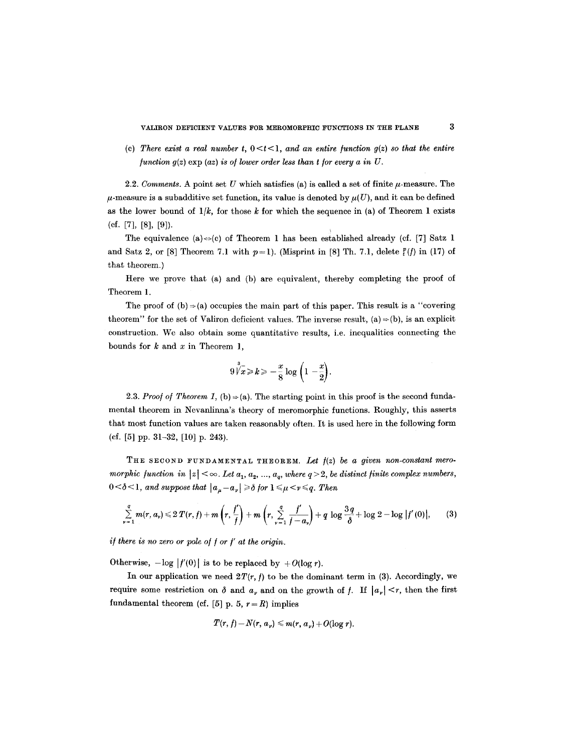(c) There exist a real number t,  $0 \lt t \lt 1$ , and an entire function  $g(z)$  so that the entire *function*  $g(z)$  *exp (az) is of lower order less than t for every a in U.* 

2.2. *Comments.* A point set U which satisfies (a) is called a set of finite  $\mu$ -measure. The  $\mu$ -measure is a subadditive set function, its value is denoted by  $\mu(U)$ , and it can be defined as the lower bound of  $1/k$ , for those k for which the sequence in (a) of Theorem 1 exists (cf. [7], [8], [9]).

The equivalence (a)  $\Leftrightarrow$  (c) of Theorem 1 has been established already (cf. [7] Satz 1 and Satz 2, or [8] Theorem 7.1 with  $p=1$ ). (Misprint in [8] Th. 7.1, delete  $\frac{p}{i}(f)$  in (17) of that theorem.)

Here we prove that (a) and (b) are equivalent, thereby completing the proof of Theorem 1.

The proof of  $(b) \rightarrow (a)$  occupies the main part of this paper. This result is a "covering" theorem" for the set of Valiron deficient values. The inverse result,  $(a) \rightarrow (b)$ , is an explicit construction. We also obtain some quantitative results, i.e. inequalities connecting the bounds for  $k$  and  $x$  in Theorem 1,

$$
9\overline{\n\sqrt[3]{x}} \ge k \ge -\frac{x}{8}\log\left(1-\frac{x}{2}\right).
$$

2.3. *Proof of Theorem 1,* (b)  $\Rightarrow$  (a). The starting point in this proof is the second fundamental theorem in Nevanlinna's theory of meromorphie functions. Roughly, this asserts that most function values are taken reasonably often. It is used here in the following form (el. [5] pp. 31-32, [10] p. 243).

THE SECOND FUNDAMENTAL THEOREM. Let  $f(z)$  be a given non-constant mero*morphic function in*  $|z| < \infty$ . Let  $a_1, a_2, ..., a_q$ , where  $q > 2$ , be distinct finite complex numbers,  $0<\delta<1$ , and suppose that  $|a_{\mu}-a_{\nu}| \geq \delta$  for  $1 \leq \mu < \nu \leq q$ . Then

$$
\sum_{\nu=1}^{q} m(r, a_{\nu}) \leq 2 T(r, f) + m\left(r, \frac{f'}{f}\right) + m\left(r, \sum_{\nu=1}^{q} \frac{f'}{f - a_{\nu}}\right) + q \log \frac{3q}{\delta} + \log 2 - \log |f'(0)|, \qquad (3)
$$

*if there is no zero or pole of f or f' at the origin.* 

Otherwise,  $-\log |f'(0)|$  is to be replaced by  $+O(\log r)$ .

In our application we need  $2T(r, f)$  to be the dominant term in (3). Accordingly, we require some restriction on  $\delta$  and  $a_{\nu}$  and on the growth of f. If  $|a_{\nu}| < r$ , then the first fundamental theorem (cf.  $[5]$  p. 5,  $r = R$ ) implies

$$
T(r, f)-N(r, a_{\nu}) \leqslant m(r, a_{\nu})+O(\log r).
$$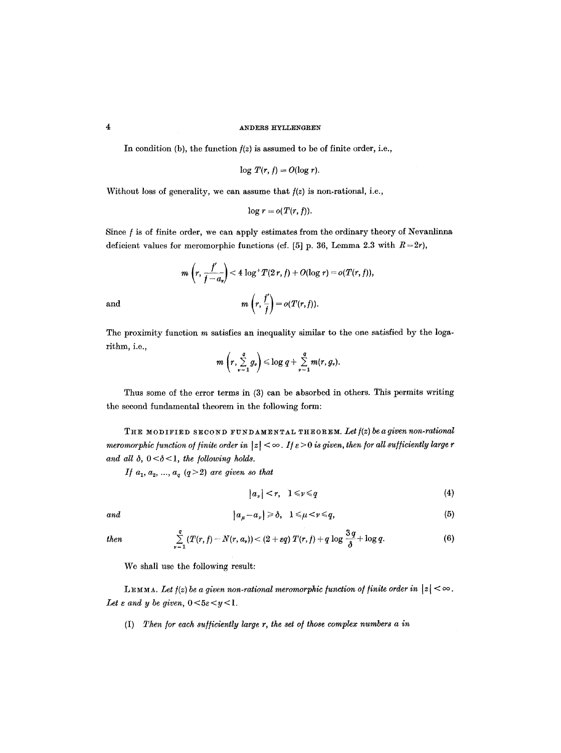In condition (b), the function  $f(z)$  is assumed to be of finite order, i.e.,

$$
\log T(r, f) = O(\log r).
$$

Without loss of generality, we can assume that  $f(z)$  is non-rational, i.e.,

$$
\log r = o(T(r, f)).
$$

Since f is of finite order, we can apply estimates from the ordinary theory of Nevanlinna deficient values for meromorphic functions (cf.  $[5]$  p. 36, Lemma 2.3 with  $R = 2r$ ),

$$
m\left(r,\frac{f'}{f-a_r}\right)<4\log^+T(2\,r,f)+O(\log r)=o(T(r,f)),
$$
 and 
$$
m\left(r,\frac{f'}{f}\right)=o(T(r,f)).
$$

The proximity function  $m$  satisfies an inequality similar to the one satisfied by the logarithm, i.e.,

$$
m\left(r,\sum_{\nu=1}^q g_{\nu}\right)\leq \log q+\sum_{\nu=1}^q m(r,g_{\nu}).
$$

Thus some of the error terms in (3) can be absorbed in others. This permits writing the seeond fundamental theorem in the following form:

THE MODIFIED SECOND FUNDAMENTAL THEOREM. Let  $f(z)$  be a given non-rational *meromorphic function of finite order in*  $|z| < \infty$ . If  $\varepsilon > 0$  is given, then for all sufficiently large r and all  $\delta$ ,  $0 < \delta < 1$ , the following holds.

*If*  $a_1, a_2, ..., a_q$   $(q > 2)$  *are given so that* 

$$
|a_{\nu}| < r, \quad 1 \leqslant \nu \leqslant q \tag{4}
$$

*and* 

$$
|a_{\mu}-a_{\nu}|\geq \delta, \quad 1\leq \mu < \nu \leq q,
$$
 (5)

$$
then
$$

$$
\sum_{\nu=1}^q (T(r,f)-N(r,a_{\nu})) < (2+\epsilon q) T(r,f) + q \log \frac{3q}{\delta} + \log q. \tag{6}
$$

We shall use the following result:

LEMMA. Let  $f(z)$  be a given non-rational meromorphic function of finite order in  $|z| < \infty$ . Let  $\varepsilon$  and  $y$  be given,  $0 < 5\varepsilon < y < 1$ .

(I) *Then/or each sufficiently large r, the set o/those complex numbers a in*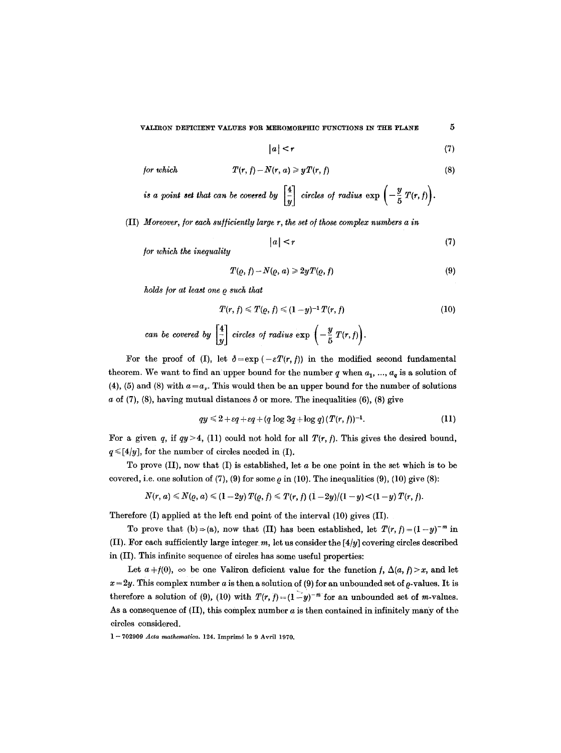$$
|a| < r \tag{7}
$$

for which 
$$
T(r, f) - N(r, a) \geqslant yT(r, f)
$$
 (8)

*is a point set that can be covered by*  $\left|\frac{4}{n}\right|$  *circles of radius*  $\exp\left(-\frac{y}{5}T(r,t)\right)$ .

(II) *Moreover, for each sufficiently large r, the set of those complex numbers a in* 

$$
|a| < r \tag{7}
$$

*/or which the inequality* 

$$
T(\varrho, f) - N(\varrho, a) \geqslant 2yT(\varrho, f) \tag{9}
$$

*holds/or at least one Q such that* 

$$
T(r, f) \leq T(\varrho, f) \leq (1 - y)^{-1} T(r, f)
$$
\n(10)

\ncan be covered by  $\left[\frac{4}{y}\right]$  circles of radius  $\exp\left(-\frac{y}{5}T(r, f)\right)$ .

For the proof of (I), let  $\delta = \exp(-\varepsilon T(r, f))$  in the modified second fundamental theorem. We want to find an upper bound for the number q when  $a_1, ..., a_n$  is a solution of (4), (5) and (8) with  $a = a_v$ . This would then be an upper bound for the number of solutions a of (7), (8), having mutual distances  $\delta$  or more. The inequalities (6), (8) give

$$
qy \leq 2 + \varepsilon q + \varepsilon q + (q \log 3q + \log q)(T(r, f))^{-1}.
$$
 (11)

For a given q, if  $qy > 4$ , (11) could not hold for all  $T(r, f)$ . This gives the desired bound,  $q \leq [4/y]$ , for the number of circles needed in (I).

To prove  $(II)$ , now that  $(I)$  is established, let  $a$  be one point in the set which is to be covered, i.e. one solution of (7), (9) for some  $\rho$  in (10). The inequalities (9), (10) give (8):

$$
N(r, a) \leq N(\varrho, a) \leq (1-2y) T(\varrho, f) \leq T(r, f) (1-2y)/(1-y) < (1-y) T(r, f).
$$

Therefore (I) applied at the left end point of the interval (10) gives (II).

To prove that (b)  $\Rightarrow$  (a), now that (II) has been established, let  $T(r, f) = (1-y)^{-m}$  in (II). For each sufficiently large integer  $m$ , let us consider the  $[4/y]$  covering circles described in (II). This infinite sequence of circles has some useful properties:

Let  $a \neq f(0)$ ,  $\infty$  be one Valiron deficient value for the function f,  $\Delta(a, f) > x$ , and let  $x=2y$ . This complex number a is then a solution of (9) for an unbounded set of  $\rho$ -values. It is therefore a solution of (9), (10) with  $T(r, f) = (1 - y)^{-m}$  for an unbounded set of m-values. As a consequence of  $(II)$ , this complex number  $a$  is then contained in infinitely many of the circles considered.

1 -- 702909 *Acta mathematlca.* 124. Imprim6 lo 9 Avril 1970.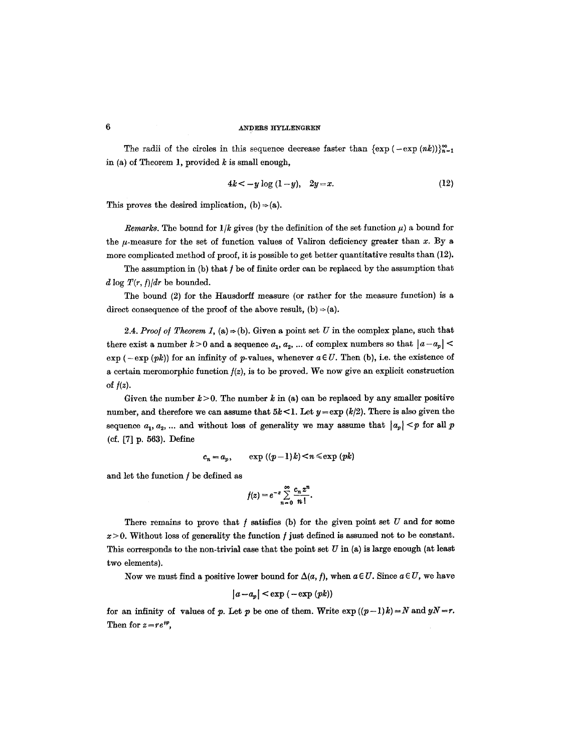The radii of the circles in this sequence decrease faster than  $\{\exp(-\exp(nk))\}_{n=1}^{\infty}$ in (a) of Theorem 1, provided  $k$  is small enough,

$$
4k < -y \log (1 - y), \quad 2y = x. \tag{12}
$$

This proves the desired implication,  $(b) \Rightarrow (a)$ .

*Remarks.* The bound for  $1/k$  gives (by the definition of the set function  $\mu$ ) a bound for the  $\mu$ -measure for the set of function values of Valiron deficiency greater than x. By a more complicated method of proof, it is possible to get better quantitative results than (12).

The assumption in (b) that  $f$  be of finite order can be replaced by the assumption that  $d \log T(r, f)/dr$  be bounded.

The bound (2) for the Hausdorff measure (or rather for the measure function) is a direct consequence of the proof of the above result,  $(b) \Rightarrow (a)$ .

2.4. *Proof of Theorem 1,* (a)  $\Rightarrow$  (b). Given a point set U in the complex plane, such that there exist a number  $k > 0$  and a sequence  $a_1, a_2, \ldots$  of complex numbers so that  $|a-a_p| <$  $\exp(-\exp(pk))$  for an infinity of p-values, whenever  $a \in U$ . Then (b), i.e. the existence of a certain meromorphic function *](z),* is to be proved. We now give an explicit construction of  $f(z)$ .

Given the number  $k > 0$ . The number k in (a) can be replaced by any smaller positive number, and therefore we can assume that  $5k < 1$ . Let  $y = \exp (k/2)$ . There is also given the sequence  $a_1, a_2, \ldots$  and without loss of generality we may assume that  $|a_p| \leq p$  for all p **(cf. [7] p. 563).** Define

$$
c_n = a_p, \qquad \exp((p-1)k) < n \leq \exp(pk)
$$

and let the function  $f$  be defined as

$$
f(z)=e^{-z}\sum_{n=0}^{\infty}\frac{c_n z^n}{n!}.
$$

There remains to prove that  $f$  satisfies (b) for the given point set  $U$  and for some  $x > 0$ . Without loss of generality the function f just defined is assumed not to be constant. This corresponds to the non-trivial case that the point set  $U$  in (a) is large enough (at least two elements).

Now we must find a positive lower bound for  $\Delta(a, f)$ , when  $a \in U$ . Since  $a \in U$ , we have

$$
|a-a_p| < \exp(-\exp(pk))
$$

for an infinity of values of p. Let p be one of them. Write  $\exp((p-1)k) = N$  and  $yN = r$ . Then for  $z = re^{i\varphi}$ ,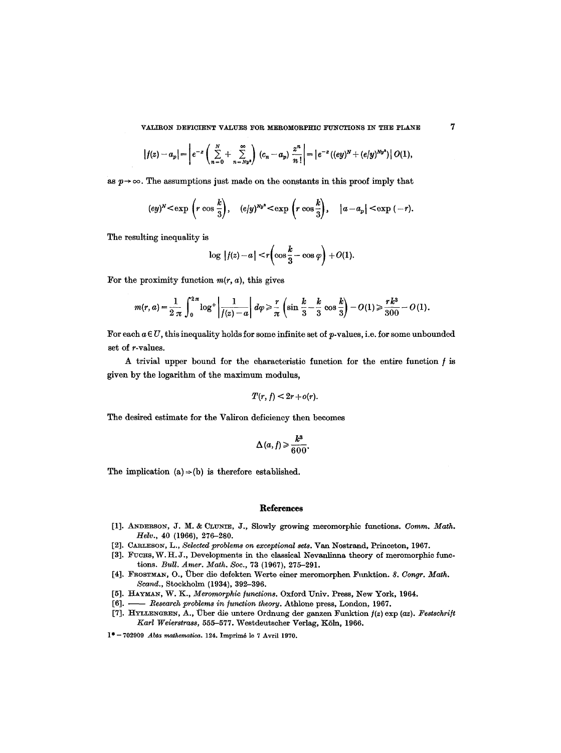$$
\left|f(z)-a_p\right|=\left|e^{-z}\left(\sum_{n=0}^N+\sum_{n=Ny^2}^{\infty}\right)(c_n-a_p)\frac{z^n}{n!}\right|=\left|e^{-z}((ey)^N+(e/y)^{Ny^2})\right|O(1),
$$

as  $p \rightarrow \infty$ . The assumptions just made on the constants in this proof imply that

$$
(ey)^{N} < \exp\left(r \cos\frac{k}{3}\right), \quad (e/y)^{Ny^2} < \exp\left(r \cos\frac{k}{3}\right), \quad |a-a_p| < \exp\left(-r\right).
$$

The resulting inequality is

$$
\log |f(z)-a|< r\left(\cos\frac{k}{3}-\cos\varphi\right)+O(1).
$$

For the proximity function  $m(r, a)$ , this gives

$$
m(r,a) = \frac{1}{2 \pi} \int_0^{2\pi} \log^+ \left| \frac{1}{f(z) - a} \right| d\varphi \ge \frac{r}{\pi} \left( \sin \frac{k}{3} - \frac{k}{3} \cos \frac{k}{3} \right) - O(1) \ge \frac{rk^3}{300} - O(1).
$$

For each  $a \in U$ , this inequality holds for some infinite set of p-values, i.e. for some unbounded set of r-values.

A trivial upper bound for the characteristic function for the entire function  $f$  is given by the logarithm of the maximum modulus,

$$
T(r, f) < 2r + o(r).
$$

The desired estimate for the Valiron deficiency then becomes

$$
\Delta(a,f) \geqslant \frac{k^3}{600}.
$$

The implication  $(a) \Rightarrow (b)$  is therefore established.

## **References**

- [1]. ANDERSON, J. M. & CLUNIE, J., Slowly growing meromorphic functions. *Comm. Math. Helv.,* 40 (1966), 276-280.
- [2]. CARLESON, L., *Selected problems on exceptional sets*. Van Nostrand, Princeton, 1967.
- [3]. FUCHS, W. H. J., Developments in the classical Nevanlinna theory of meromorphic functions. *Bull. Amer. Math. Soc.,* 73 (1967), 275-291.
- [4]. FROSTMAN, O., ~ber die defekten Werte einer meromorphen Flmktion. *8. Congr. Math. Scand.,* Stockholm (1934), 392-396.
- [5]. HAYMAN, W. K., *Meromorphic functions*. Oxford Univ. Press, New York, 1964.
- [6]. *Research problems in junction theory.* Athlone press, London, 1967.
- [7]. HYLLENGREN, A., Über die untere Ordnung der ganzen Funktion  $f(z)$  exp *(az). Festschrift Karl Weierstrass,* 555-577. Westdeutscher Verlag, KSln, 1966.
- 1<sup>\*</sup> 702909 *Abta mathematica.* 124. Imprimé le 7 Avril 1970.